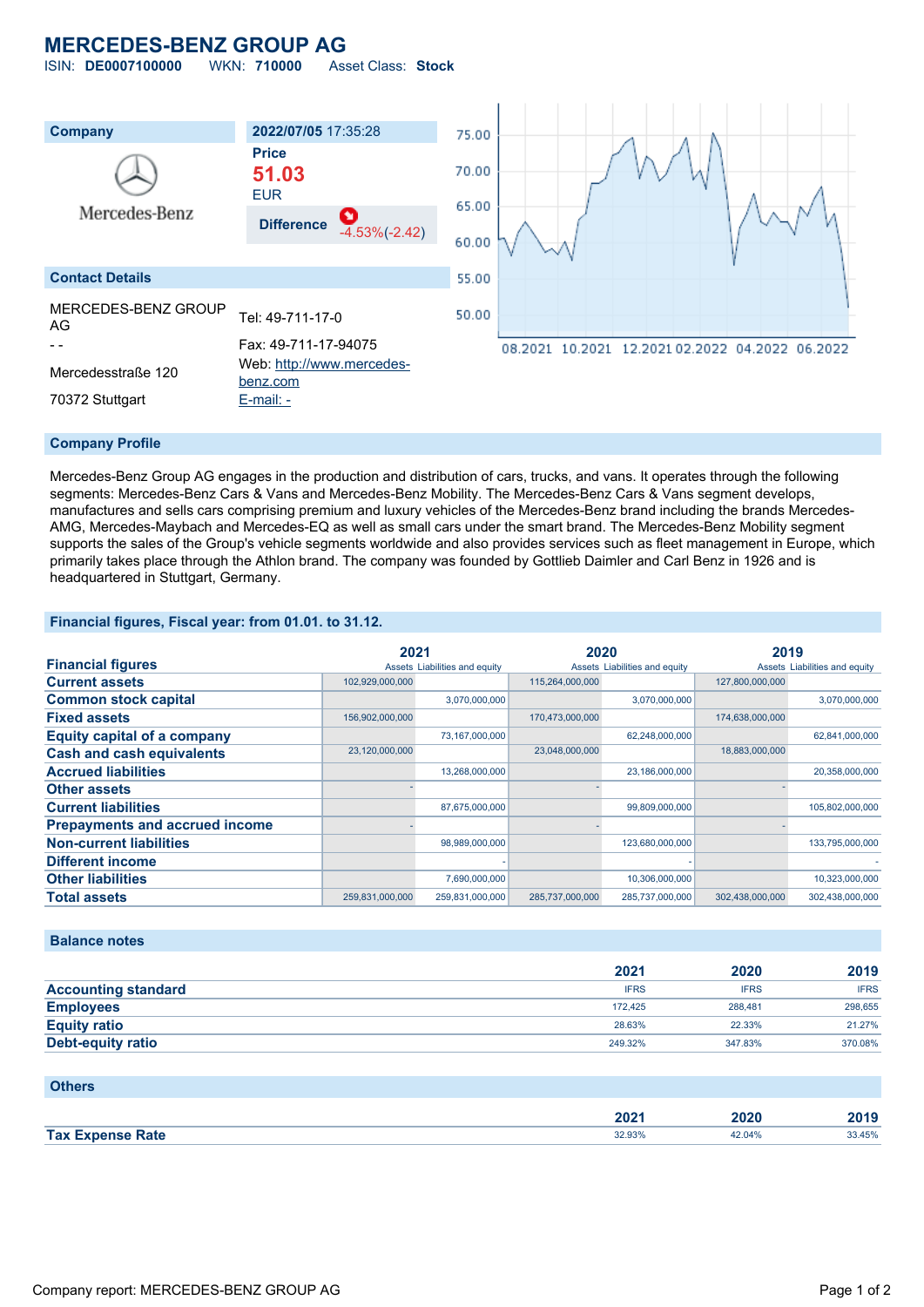## **MERCEDES-BENZ GROUP AG**

ISIN: **DE0007100000** WKN: **710000** Asset Class: **Stock**



#### **Company Profile**

Mercedes-Benz Group AG engages in the production and distribution of cars, trucks, and vans. It operates through the following segments: Mercedes-Benz Cars & Vans and Mercedes-Benz Mobility. The Mercedes-Benz Cars & Vans segment develops, manufactures and sells cars comprising premium and luxury vehicles of the Mercedes-Benz brand including the brands Mercedes-AMG, Mercedes-Maybach and Mercedes-EQ as well as small cars under the smart brand. The Mercedes-Benz Mobility segment supports the sales of the Group's vehicle segments worldwide and also provides services such as fleet management in Europe, which primarily takes place through the Athlon brand. The company was founded by Gottlieb Daimler and Carl Benz in 1926 and is headquartered in Stuttgart, Germany.

#### **Financial figures, Fiscal year: from 01.01. to 31.12.**

|                                       | 2021            |                               | 2020            |                               | 2019            |                               |
|---------------------------------------|-----------------|-------------------------------|-----------------|-------------------------------|-----------------|-------------------------------|
| <b>Financial figures</b>              |                 | Assets Liabilities and equity |                 | Assets Liabilities and equity |                 | Assets Liabilities and equity |
| <b>Current assets</b>                 | 102,929,000,000 |                               | 115,264,000,000 |                               | 127,800,000,000 |                               |
| <b>Common stock capital</b>           |                 | 3,070,000,000                 |                 | 3,070,000,000                 |                 | 3,070,000,000                 |
| <b>Fixed assets</b>                   | 156,902,000,000 |                               | 170,473,000,000 |                               | 174,638,000,000 |                               |
| <b>Equity capital of a company</b>    |                 | 73,167,000,000                |                 | 62,248,000,000                |                 | 62,841,000,000                |
| <b>Cash and cash equivalents</b>      | 23,120,000,000  |                               | 23,048,000,000  |                               | 18,883,000,000  |                               |
| <b>Accrued liabilities</b>            |                 | 13,268,000,000                |                 | 23,186,000,000                |                 | 20,358,000,000                |
| <b>Other assets</b>                   |                 |                               |                 |                               |                 |                               |
| <b>Current liabilities</b>            |                 | 87,675,000,000                |                 | 99,809,000,000                |                 | 105,802,000,000               |
| <b>Prepayments and accrued income</b> |                 |                               |                 |                               |                 |                               |
| <b>Non-current liabilities</b>        |                 | 98,989,000,000                |                 | 123,680,000,000               |                 | 133,795,000,000               |
| <b>Different income</b>               |                 |                               |                 |                               |                 |                               |
| <b>Other liabilities</b>              |                 | 7,690,000,000                 |                 | 10,306,000,000                |                 | 10,323,000,000                |
| <b>Total assets</b>                   | 259,831,000,000 | 259,831,000,000               | 285,737,000,000 | 285,737,000,000               | 302,438,000,000 | 302,438,000,000               |

#### **Balance notes**

|                            | 2021        | 2020        | 2019        |
|----------------------------|-------------|-------------|-------------|
| <b>Accounting standard</b> | <b>IFRS</b> | <b>IFRS</b> | <b>IFRS</b> |
| <b>Employees</b>           | 172.425     | 288.481     | 298,655     |
| <b>Equity ratio</b>        | 28.63%      | 22.33%      | 21.27%      |
| <b>Debt-equity ratio</b>   | 249.32%     | 347.83%     | 370.08%     |

#### **Others**

|               | 2022<br>ZUZ I                      | .<br>.vzv | 2019  |
|---------------|------------------------------------|-----------|-------|
| Tax I<br>Rate | 32.03%<br><b>JZ.YJ70</b><br>------ | 04%       | 3.45% |